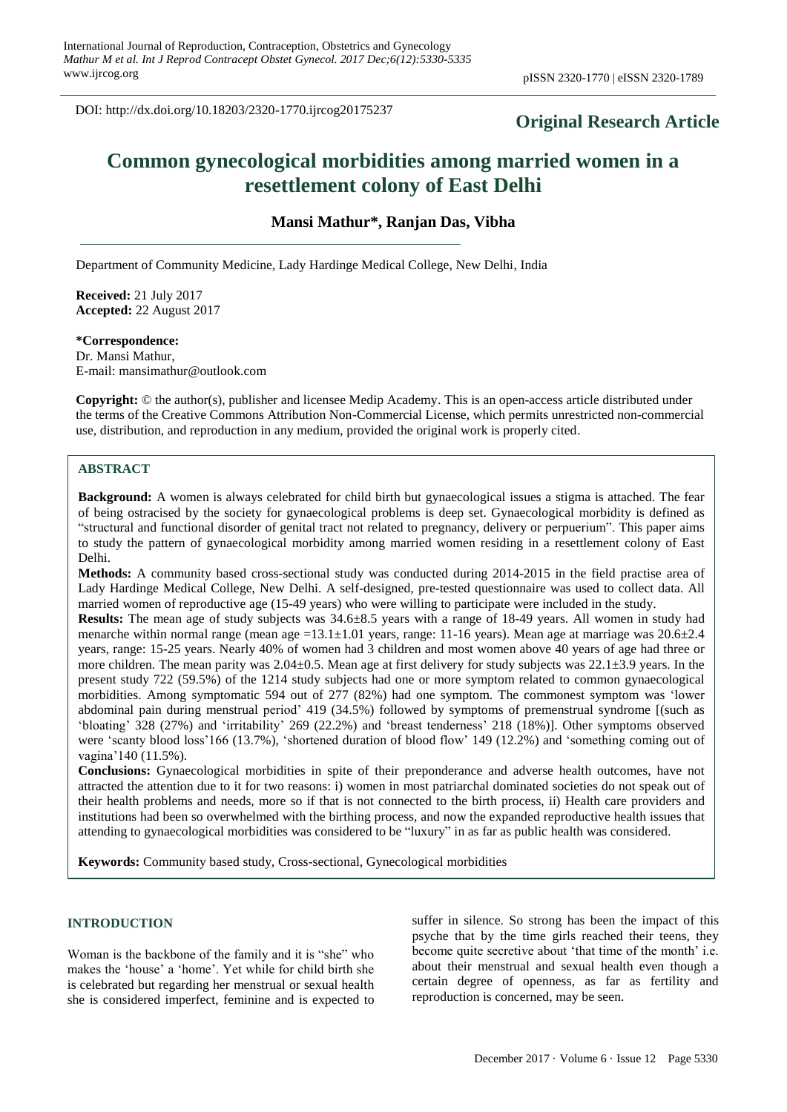DOI: http://dx.doi.org/10.18203/2320-1770.ijrcog20175237

# **Original Research Article**

# **Common gynecological morbidities among married women in a resettlement colony of East Delhi**

**Mansi Mathur\*, Ranjan Das, Vibha** 

Department of Community Medicine, Lady Hardinge Medical College, New Delhi, India

**Received:** 21 July 2017 **Accepted:** 22 August 2017

#### **\*Correspondence:**

Dr. Mansi Mathur, E-mail: mansimathur@outlook.com

**Copyright:** © the author(s), publisher and licensee Medip Academy. This is an open-access article distributed under the terms of the Creative Commons Attribution Non-Commercial License, which permits unrestricted non-commercial use, distribution, and reproduction in any medium, provided the original work is properly cited.

## **ABSTRACT**

**Background:** A women is always celebrated for child birth but gynaecological issues a stigma is attached. The fear of being ostracised by the society for gynaecological problems is deep set. Gynaecological morbidity is defined as "structural and functional disorder of genital tract not related to pregnancy, delivery or perpuerium". This paper aims to study the pattern of gynaecological morbidity among married women residing in a resettlement colony of East Delhi.

**Methods:** A community based cross-sectional study was conducted during 2014-2015 in the field practise area of Lady Hardinge Medical College, New Delhi. A self-designed, pre-tested questionnaire was used to collect data. All married women of reproductive age (15-49 years) who were willing to participate were included in the study.

**Results:** The mean age of study subjects was 34.6±8.5 years with a range of 18-49 years. All women in study had menarche within normal range (mean age =13.1 $\pm$ 1.01 years, range: 11-16 years). Mean age at marriage was 20.6 $\pm$ 2.4 years, range: 15-25 years. Nearly 40% of women had 3 children and most women above 40 years of age had three or more children. The mean parity was  $2.04\pm0.5$ . Mean age at first delivery for study subjects was  $22.1\pm3.9$  years. In the present study 722 (59.5%) of the 1214 study subjects had one or more symptom related to common gynaecological morbidities. Among symptomatic 594 out of 277 (82%) had one symptom. The commonest symptom was 'lower abdominal pain during menstrual period' 419 (34.5%) followed by symptoms of premenstrual syndrome [(such as 'bloating' 328 (27%) and 'irritability' 269 (22.2%) and 'breast tenderness' 218 (18%)]. Other symptoms observed were 'scanty blood loss'166 (13.7%), 'shortened duration of blood flow' 149 (12.2%) and 'something coming out of vagina'140 (11.5%).

**Conclusions:** Gynaecological morbidities in spite of their preponderance and adverse health outcomes, have not attracted the attention due to it for two reasons: i) women in most patriarchal dominated societies do not speak out of their health problems and needs, more so if that is not connected to the birth process, ii) Health care providers and institutions had been so overwhelmed with the birthing process, and now the expanded reproductive health issues that attending to gynaecological morbidities was considered to be "luxury" in as far as public health was considered.

**Keywords:** Community based study, Cross-sectional, Gynecological morbidities

#### **INTRODUCTION**

Woman is the backbone of the family and it is "she" who makes the 'house' a 'home'. Yet while for child birth she is celebrated but regarding her menstrual or sexual health she is considered imperfect, feminine and is expected to suffer in silence. So strong has been the impact of this psyche that by the time girls reached their teens, they become quite secretive about 'that time of the month' i.e. about their menstrual and sexual health even though a certain degree of openness, as far as fertility and reproduction is concerned, may be seen.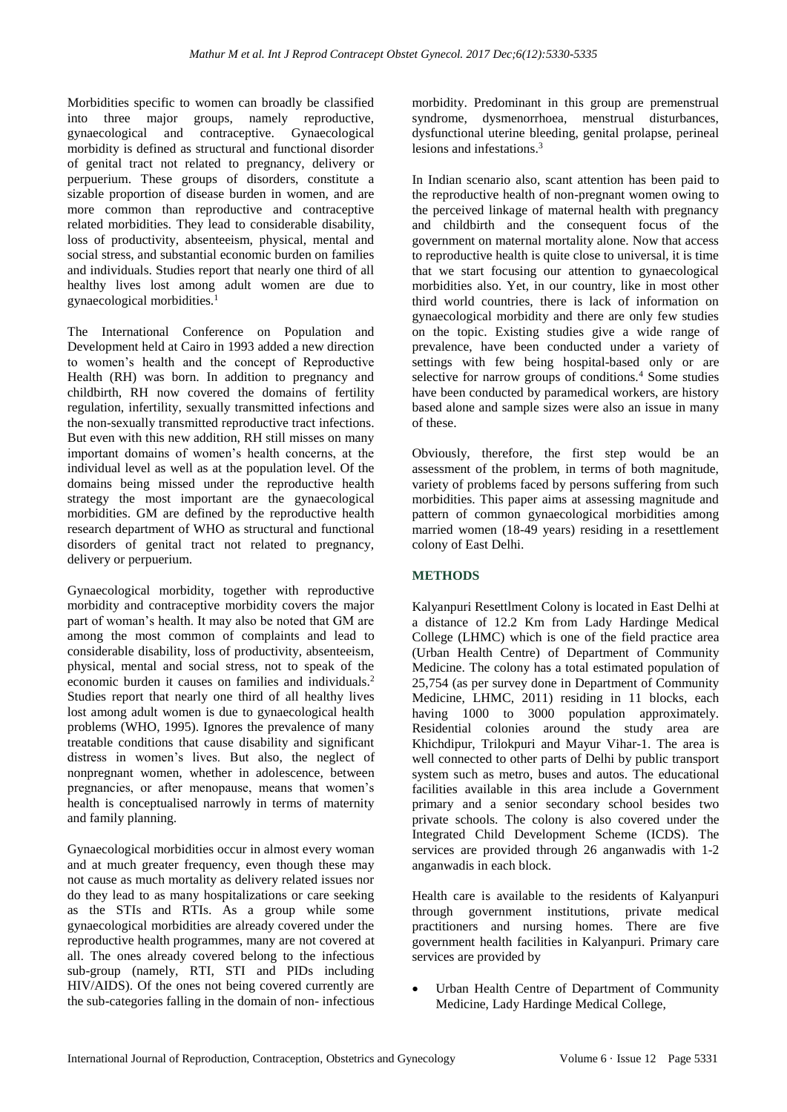Morbidities specific to women can broadly be classified into three major groups, namely reproductive, gynaecological and contraceptive. Gynaecological morbidity is defined as structural and functional disorder of genital tract not related to pregnancy, delivery or perpuerium. These groups of disorders, constitute a sizable proportion of disease burden in women, and are more common than reproductive and contraceptive related morbidities. They lead to considerable disability, loss of productivity, absenteeism, physical, mental and social stress, and substantial economic burden on families and individuals. Studies report that nearly one third of all healthy lives lost among adult women are due to gynaecological morbidities.<sup>1</sup>

The International Conference on Population and Development held at Cairo in 1993 added a new direction to women's health and the concept of Reproductive Health (RH) was born. In addition to pregnancy and childbirth, RH now covered the domains of fertility regulation, infertility, sexually transmitted infections and the non-sexually transmitted reproductive tract infections. But even with this new addition, RH still misses on many important domains of women's health concerns, at the individual level as well as at the population level. Of the domains being missed under the reproductive health strategy the most important are the gynaecological morbidities. GM are defined by the reproductive health research department of WHO as structural and functional disorders of genital tract not related to pregnancy, delivery or perpuerium.

Gynaecological morbidity, together with reproductive morbidity and contraceptive morbidity covers the major part of woman's health. It may also be noted that GM are among the most common of complaints and lead to considerable disability, loss of productivity, absenteeism, physical, mental and social stress, not to speak of the economic burden it causes on families and individuals. 2 Studies report that nearly one third of all healthy lives lost among adult women is due to gynaecological health problems (WHO, 1995). Ignores the prevalence of many treatable conditions that cause disability and significant distress in women's lives. But also, the neglect of nonpregnant women, whether in adolescence, between pregnancies, or after menopause, means that women's health is conceptualised narrowly in terms of maternity and family planning.

Gynaecological morbidities occur in almost every woman and at much greater frequency, even though these may not cause as much mortality as delivery related issues nor do they lead to as many hospitalizations or care seeking as the STIs and RTIs. As a group while some gynaecological morbidities are already covered under the reproductive health programmes, many are not covered at all. The ones already covered belong to the infectious sub-group (namely, RTI, STI and PIDs including HIV/AIDS). Of the ones not being covered currently are the sub-categories falling in the domain of non- infectious morbidity. Predominant in this group are premenstrual syndrome, dysmenorrhoea, menstrual disturbances, dysfunctional uterine bleeding, genital prolapse, perineal lesions and infestations.<sup>3</sup>

In Indian scenario also, scant attention has been paid to the reproductive health of non-pregnant women owing to the perceived linkage of maternal health with pregnancy and childbirth and the consequent focus of the government on maternal mortality alone. Now that access to reproductive health is quite close to universal, it is time that we start focusing our attention to gynaecological morbidities also. Yet, in our country, like in most other third world countries, there is lack of information on gynaecological morbidity and there are only few studies on the topic. Existing studies give a wide range of prevalence, have been conducted under a variety of settings with few being hospital-based only or are selective for narrow groups of conditions.<sup>4</sup> Some studies have been conducted by paramedical workers, are history based alone and sample sizes were also an issue in many of these.

Obviously, therefore, the first step would be an assessment of the problem, in terms of both magnitude, variety of problems faced by persons suffering from such morbidities. This paper aims at assessing magnitude and pattern of common gynaecological morbidities among married women (18-49 years) residing in a resettlement colony of East Delhi.

### **METHODS**

Kalyanpuri Resettlment Colony is located in East Delhi at a distance of 12.2 Km from Lady Hardinge Medical College (LHMC) which is one of the field practice area (Urban Health Centre) of Department of Community Medicine. The colony has a total estimated population of 25,754 (as per survey done in Department of Community Medicine, LHMC, 2011) residing in 11 blocks, each having 1000 to 3000 population approximately. Residential colonies around the study area are Khichdipur, Trilokpuri and Mayur Vihar-1. The area is well connected to other parts of Delhi by public transport system such as metro, buses and autos. The educational facilities available in this area include a Government primary and a senior secondary school besides two private schools. The colony is also covered under the Integrated Child Development Scheme (ICDS). The services are provided through 26 anganwadis with 1-2 anganwadis in each block.

Health care is available to the residents of Kalyanpuri through government institutions, private medical practitioners and nursing homes. There are five government health facilities in Kalyanpuri. Primary care services are provided by

• Urban Health Centre of Department of Community Medicine, Lady Hardinge Medical College,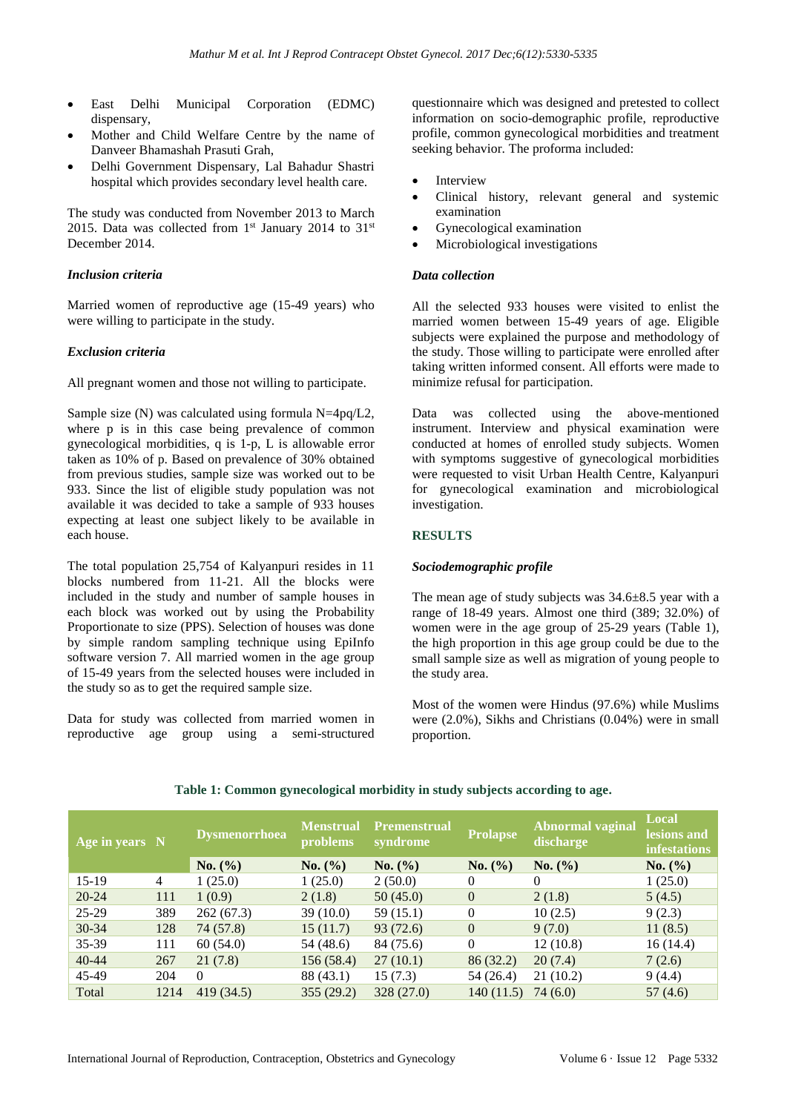- East Delhi Municipal Corporation (EDMC) dispensary,
- Mother and Child Welfare Centre by the name of Danveer Bhamashah Prasuti Grah,
- Delhi Government Dispensary, Lal Bahadur Shastri hospital which provides secondary level health care.

The study was conducted from November 2013 to March 2015. Data was collected from  $1<sup>st</sup>$  January 2014 to 31<sup>st</sup> December 2014.

#### *Inclusion criteria*

Married women of reproductive age (15-49 years) who were willing to participate in the study.

#### *Exclusion criteria*

All pregnant women and those not willing to participate.

Sample size  $(N)$  was calculated using formula N=4pq/L2, where p is in this case being prevalence of common gynecological morbidities, q is 1-p, L is allowable error taken as 10% of p. Based on prevalence of 30% obtained from previous studies, sample size was worked out to be 933. Since the list of eligible study population was not available it was decided to take a sample of 933 houses expecting at least one subject likely to be available in each house.

The total population 25,754 of Kalyanpuri resides in 11 blocks numbered from 11-21. All the blocks were included in the study and number of sample houses in each block was worked out by using the Probability Proportionate to size (PPS). Selection of houses was done by simple random sampling technique using EpiInfo software version 7. All married women in the age group of 15-49 years from the selected houses were included in the study so as to get the required sample size.

Data for study was collected from married women in reproductive age group using a semi-structured questionnaire which was designed and pretested to collect information on socio-demographic profile, reproductive profile, common gynecological morbidities and treatment seeking behavior. The proforma included:

- **Interview**
- Clinical history, relevant general and systemic examination
- Gynecological examination
- Microbiological investigations

#### *Data collection*

All the selected 933 houses were visited to enlist the married women between 15-49 years of age. Eligible subjects were explained the purpose and methodology of the study. Those willing to participate were enrolled after taking written informed consent. All efforts were made to minimize refusal for participation.

Data was collected using the above-mentioned instrument. Interview and physical examination were conducted at homes of enrolled study subjects. Women with symptoms suggestive of gynecological morbidities were requested to visit Urban Health Centre, Kalyanpuri for gynecological examination and microbiological investigation.

#### **RESULTS**

#### *Sociodemographic profile*

The mean age of study subjects was 34.6±8.5 year with a range of 18-49 years. Almost one third (389; 32.0%) of women were in the age group of 25-29 years (Table 1), the high proportion in this age group could be due to the small sample size as well as migration of young people to the study area.

Most of the women were Hindus (97.6%) while Muslims were (2.0%), Sikhs and Christians (0.04%) were in small proportion.

| Age in years N |      | Dysmenorrhoea | <b>Menstrual</b><br>problems | <b>Premenstrual</b><br>syndrome | <b>Prolapse</b> | <b>Abnormal vaginal</b><br>discharge | <b>Local</b><br>lesions and<br><b>infestations</b> |
|----------------|------|---------------|------------------------------|---------------------------------|-----------------|--------------------------------------|----------------------------------------------------|
|                |      | No. (%)       | No. (%)                      | No. (%)                         | No. (%)         | No. (%)                              | No. (%)                                            |
| 15-19          | 4    | 1(25.0)       | 1(25.0)                      | 2(50.0)                         | $\theta$        | $\Omega$                             | 1(25.0)                                            |
| $20 - 24$      | 111  | 1(0.9)        | 2(1.8)                       | 50(45.0)                        | $\theta$        | 2(1.8)                               | 5(4.5)                                             |
| 25-29          | 389  | 262(67.3)     | 39(10.0)                     | 59(15.1)                        | $\theta$        | 10(2.5)                              | 9(2.3)                                             |
| 30-34          | 128  | 74 (57.8)     | 15(11.7)                     | 93(72.6)                        | $\theta$        | 9(7.0)                               | 11(8.5)                                            |
| 35-39          | 111  | 60(54.0)      | 54 (48.6)                    | 84 (75.6)                       | $\Omega$        | 12(10.8)                             | 16(14.4)                                           |
| $40 - 44$      | 267  | 21(7.8)       | 156 (58.4)                   | 27(10.1)                        | 86 (32.2)       | 20(7.4)                              | 7(2.6)                                             |
| 45-49          | 204  | $\Omega$      | 88 (43.1)                    | 15(7.3)                         | 54 (26.4)       | 21(10.2)                             | 9(4.4)                                             |
| Total          | 1214 | 419 (34.5)    | 355 (29.2)                   | 328(27.0)                       | 140(11.5)       | 74 (6.0)                             | 57 (4.6)                                           |

#### **Table 1: Common gynecological morbidity in study subjects according to age.**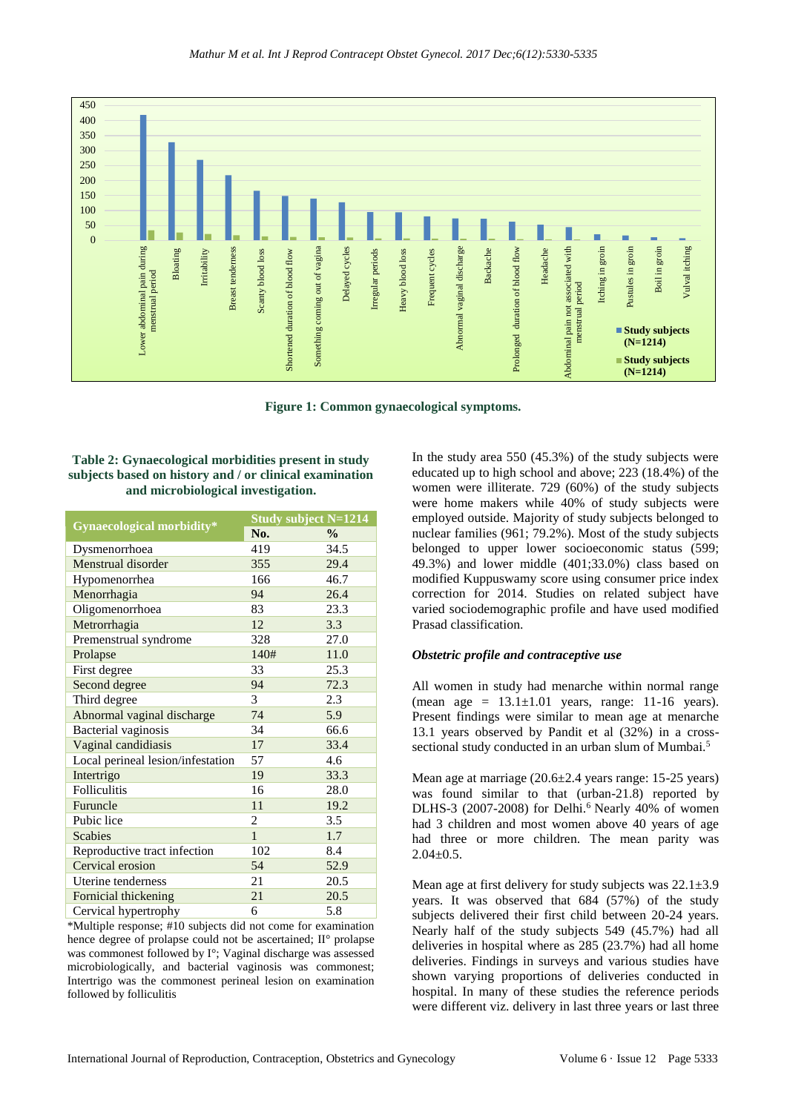

**Figure 1: Common gynaecological symptoms.**

**Table 2: Gynaecological morbidities present in study subjects based on history and / or clinical examination and microbiological investigation.**

|                                   | <b>Study subject N=1214</b> |               |  |
|-----------------------------------|-----------------------------|---------------|--|
| Gynaecological morbidity*         | No.                         | $\frac{0}{0}$ |  |
| Dysmenorrhoea                     | 419                         | 34.5          |  |
| Menstrual disorder                | 355                         | 29.4          |  |
| Hypomenorrhea                     | 166                         | 46.7          |  |
| Menorrhagia                       | 94                          | 26.4          |  |
| Oligomenorrhoea                   | 83                          | 23.3          |  |
| Metrorrhagia                      | 12                          | 3.3           |  |
| Premenstrual syndrome             | 328                         | 27.0          |  |
| Prolapse                          | 140#                        | 11.0          |  |
| First degree                      | 33                          | 25.3          |  |
| Second degree                     | 94                          | 72.3          |  |
| Third degree                      | 3                           | 2.3           |  |
| Abnormal vaginal discharge        | 74                          | 5.9           |  |
| Bacterial vaginosis               | 34                          | 66.6          |  |
| Vaginal candidiasis               | 17                          | 33.4          |  |
| Local perineal lesion/infestation | 57                          | 4.6           |  |
| Intertrigo                        | 19                          | 33.3          |  |
| Folliculitis                      | 16                          | 28.0          |  |
| Furuncle                          | 11                          | 19.2          |  |
| Pubic lice                        | 2                           | 3.5           |  |
| <b>Scabies</b>                    | $\mathbf{1}$                | 1.7           |  |
| Reproductive tract infection      | 102                         | 8.4           |  |
| Cervical erosion                  | 54                          | 52.9          |  |
| Uterine tenderness                | 21                          | 20.5          |  |
| Fornicial thickening              | 21                          | 20.5          |  |
| Cervical hypertrophy              | 6                           | 5.8           |  |

\*Multiple response; #10 subjects did not come for examination hence degree of prolapse could not be ascertained; II° prolapse was commonest followed by I°; Vaginal discharge was assessed microbiologically, and bacterial vaginosis was commonest; Intertrigo was the commonest perineal lesion on examination followed by folliculitis

In the study area 550 (45.3%) of the study subjects were educated up to high school and above; 223 (18.4%) of the women were illiterate. 729 (60%) of the study subjects were home makers while 40% of study subjects were employed outside. Majority of study subjects belonged to nuclear families (961; 79.2%). Most of the study subjects belonged to upper lower socioeconomic status (599; 49.3%) and lower middle (401;33.0%) class based on modified Kuppuswamy score using consumer price index correction for 2014. Studies on related subject have varied sociodemographic profile and have used modified Prasad classification.

#### *Obstetric profile and contraceptive use*

All women in study had menarche within normal range (mean age  $= 13.1 \pm 1.01$  years, range: 11-16 years). Present findings were similar to mean age at menarche 13.1 years observed by Pandit et al (32%) in a crosssectional study conducted in an urban slum of Mumbai.<sup>5</sup>

Mean age at marriage (20.6±2.4 years range: 15-25 years) was found similar to that (urban-21.8) reported by DLHS-3 (2007-2008) for Delhi.<sup>6</sup> Nearly 40% of women had 3 children and most women above 40 years of age had three or more children. The mean parity was  $2.04 \pm 0.5$ .

Mean age at first delivery for study subjects was  $22.1 \pm 3.9$ years. It was observed that 684 (57%) of the study subjects delivered their first child between 20-24 years. Nearly half of the study subjects 549 (45.7%) had all deliveries in hospital where as 285 (23.7%) had all home deliveries. Findings in surveys and various studies have shown varying proportions of deliveries conducted in hospital. In many of these studies the reference periods were different viz. delivery in last three years or last three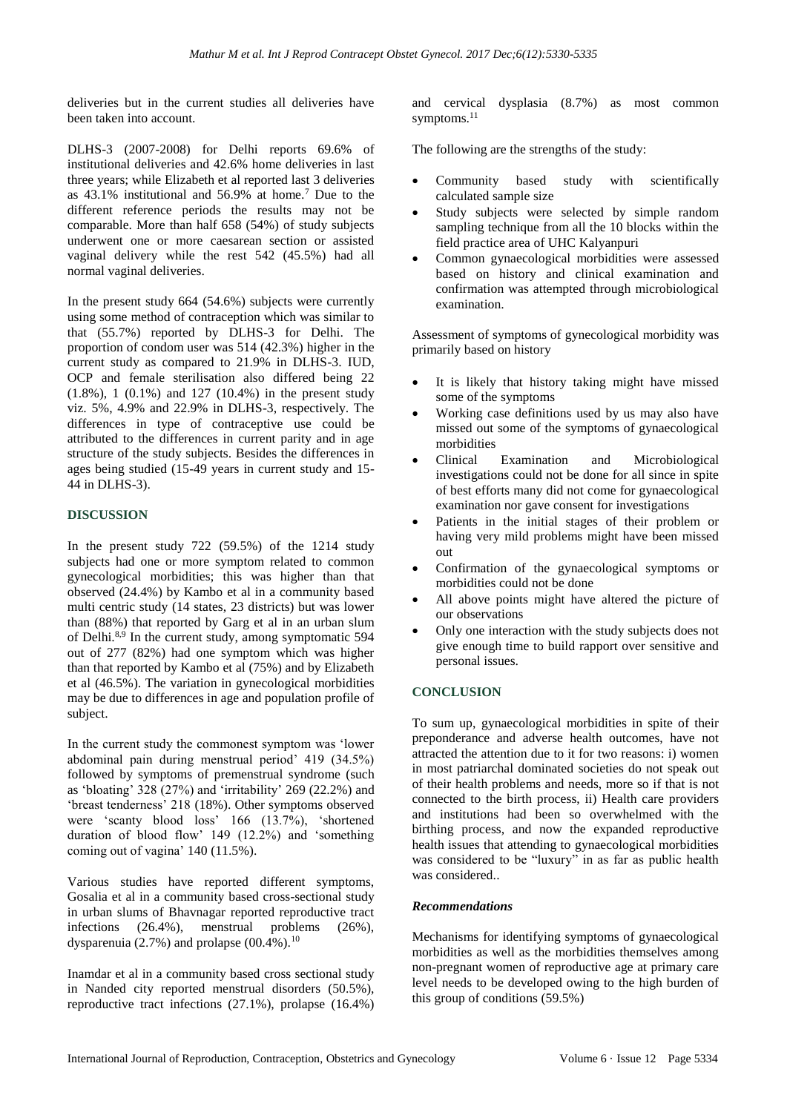deliveries but in the current studies all deliveries have been taken into account.

DLHS-3 (2007-2008) for Delhi reports 69.6% of institutional deliveries and 42.6% home deliveries in last three years; while Elizabeth et al reported last 3 deliveries as 43.1% institutional and 56.9% at home.<sup>7</sup> Due to the different reference periods the results may not be comparable. More than half 658 (54%) of study subjects underwent one or more caesarean section or assisted vaginal delivery while the rest 542 (45.5%) had all normal vaginal deliveries.

In the present study 664 (54.6%) subjects were currently using some method of contraception which was similar to that (55.7%) reported by DLHS-3 for Delhi. The proportion of condom user was 514 (42.3%) higher in the current study as compared to 21.9% in DLHS-3. IUD, OCP and female sterilisation also differed being 22 (1.8%), 1 (0.1%) and 127 (10.4%) in the present study viz. 5%, 4.9% and 22.9% in DLHS-3, respectively. The differences in type of contraceptive use could be attributed to the differences in current parity and in age structure of the study subjects. Besides the differences in ages being studied (15-49 years in current study and 15- 44 in DLHS-3).

#### **DISCUSSION**

In the present study 722 (59.5%) of the 1214 study subjects had one or more symptom related to common gynecological morbidities; this was higher than that observed (24.4%) by Kambo et al in a community based multi centric study (14 states, 23 districts) but was lower than (88%) that reported by Garg et al in an urban slum of Delhi.8,9 In the current study, among symptomatic 594 out of 277 (82%) had one symptom which was higher than that reported by Kambo et al (75%) and by Elizabeth et al (46.5%). The variation in gynecological morbidities may be due to differences in age and population profile of subject.

In the current study the commonest symptom was 'lower abdominal pain during menstrual period' 419 (34.5%) followed by symptoms of premenstrual syndrome (such as 'bloating' 328 (27%) and 'irritability' 269 (22.2%) and 'breast tenderness' 218 (18%). Other symptoms observed were 'scanty blood loss' 166 (13.7%), 'shortened duration of blood flow' 149 (12.2%) and 'something coming out of vagina' 140 (11.5%).

Various studies have reported different symptoms, Gosalia et al in a community based cross-sectional study in urban slums of Bhavnagar reported reproductive tract infections (26.4%), menstrual problems (26%), dysparenuia  $(2.7\%)$  and prolapse  $(00.4\%)$ .<sup>10</sup>

Inamdar et al in a community based cross sectional study in Nanded city reported menstrual disorders (50.5%), reproductive tract infections (27.1%), prolapse (16.4%) and cervical dysplasia (8.7%) as most common symptoms.<sup>11</sup>

The following are the strengths of the study:

- Community based study with scientifically calculated sample size
- Study subjects were selected by simple random sampling technique from all the 10 blocks within the field practice area of UHC Kalyanpuri
- Common gynaecological morbidities were assessed based on history and clinical examination and confirmation was attempted through microbiological examination.

Assessment of symptoms of gynecological morbidity was primarily based on history

- It is likely that history taking might have missed some of the symptoms
- Working case definitions used by us may also have missed out some of the symptoms of gynaecological morbidities
- Clinical Examination and Microbiological investigations could not be done for all since in spite of best efforts many did not come for gynaecological examination nor gave consent for investigations
- Patients in the initial stages of their problem or having very mild problems might have been missed out
- Confirmation of the gynaecological symptoms or morbidities could not be done
- All above points might have altered the picture of our observations
- Only one interaction with the study subjects does not give enough time to build rapport over sensitive and personal issues.

#### **CONCLUSION**

To sum up, gynaecological morbidities in spite of their preponderance and adverse health outcomes, have not attracted the attention due to it for two reasons: i) women in most patriarchal dominated societies do not speak out of their health problems and needs, more so if that is not connected to the birth process, ii) Health care providers and institutions had been so overwhelmed with the birthing process, and now the expanded reproductive health issues that attending to gynaecological morbidities was considered to be "luxury" in as far as public health was considered..

#### *Recommendations*

Mechanisms for identifying symptoms of gynaecological morbidities as well as the morbidities themselves among non-pregnant women of reproductive age at primary care level needs to be developed owing to the high burden of this group of conditions (59.5%)